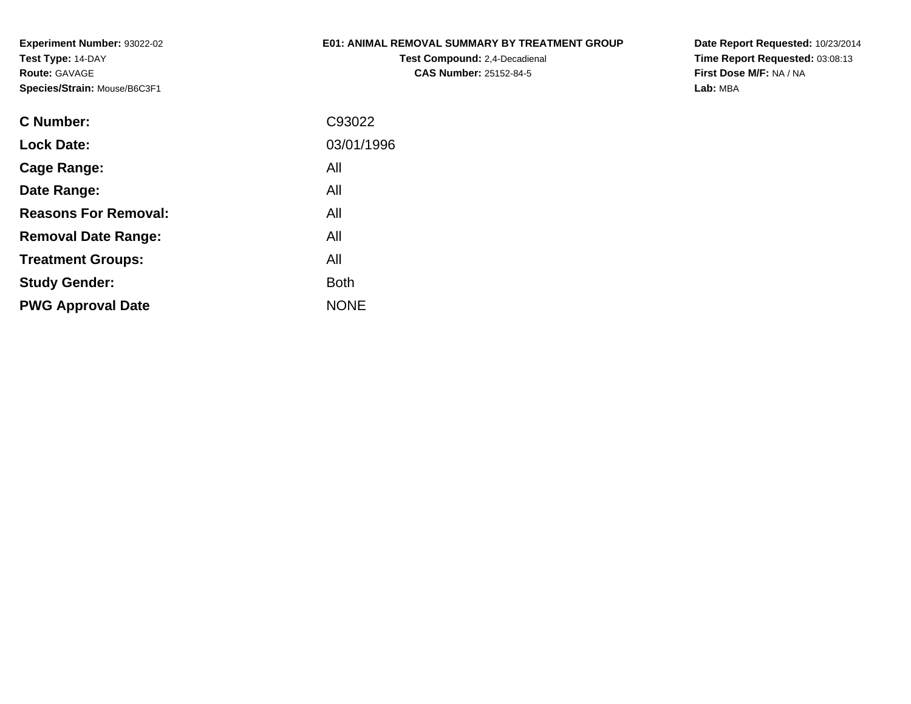### **E01: ANIMAL REMOVAL SUMMARY BY TREATMENT GROUP**

**Test Compound:** 2,4-Decadienal **CAS Number:** 25152-84-5

| C93022      |
|-------------|
| 03/01/1996  |
| All         |
| All         |
| All         |
| All         |
| All         |
| Both        |
| <b>NONE</b> |
|             |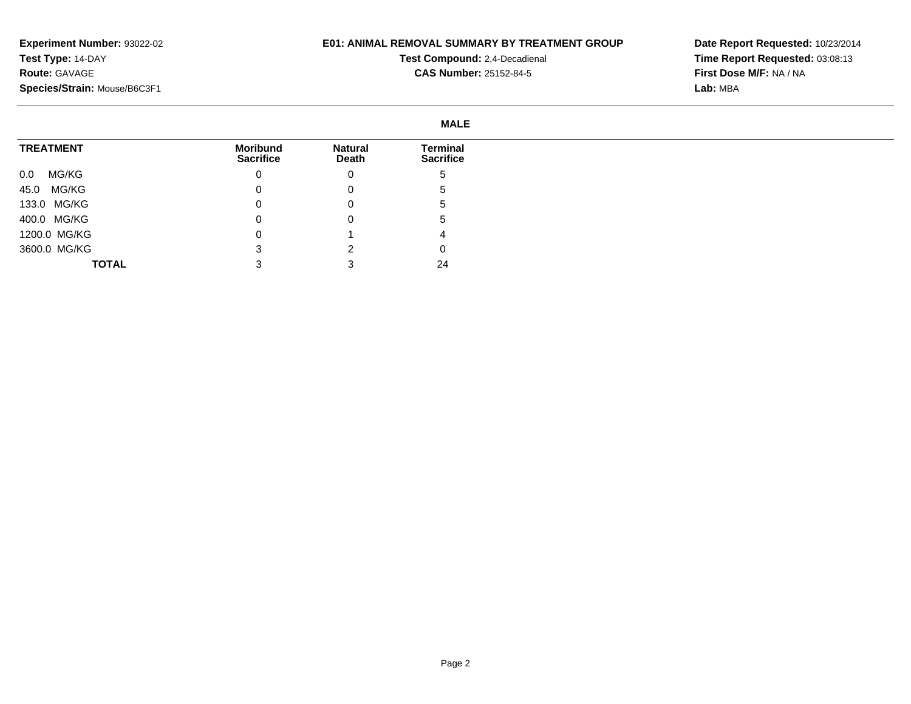### **E01: ANIMAL REMOVAL SUMMARY BY TREATMENT GROUP**

**Test Compound:** 2,4-Decadienal **CAS Number:** 25152-84-5

|                  |                              |                         | <b>MALE</b>                  |
|------------------|------------------------------|-------------------------|------------------------------|
| <b>TREATMENT</b> | Moribund<br><b>Sacrifice</b> | <b>Natural</b><br>Death | Terminal<br><b>Sacrifice</b> |
| MG/KG<br>0.0     | 0                            | 0                       | <sub>5</sub>                 |
| 45.0 MG/KG       |                              | 0                       | ა                            |
| 133.0 MG/KG      | 0                            | 0                       | .5                           |
| 400.0 MG/KG      | 0                            | 0                       | .5                           |
| 1200.0 MG/KG     |                              |                         |                              |
| 3600.0 MG/KG     |                              |                         | 0                            |
| <b>TOTAL</b>     |                              |                         | 24                           |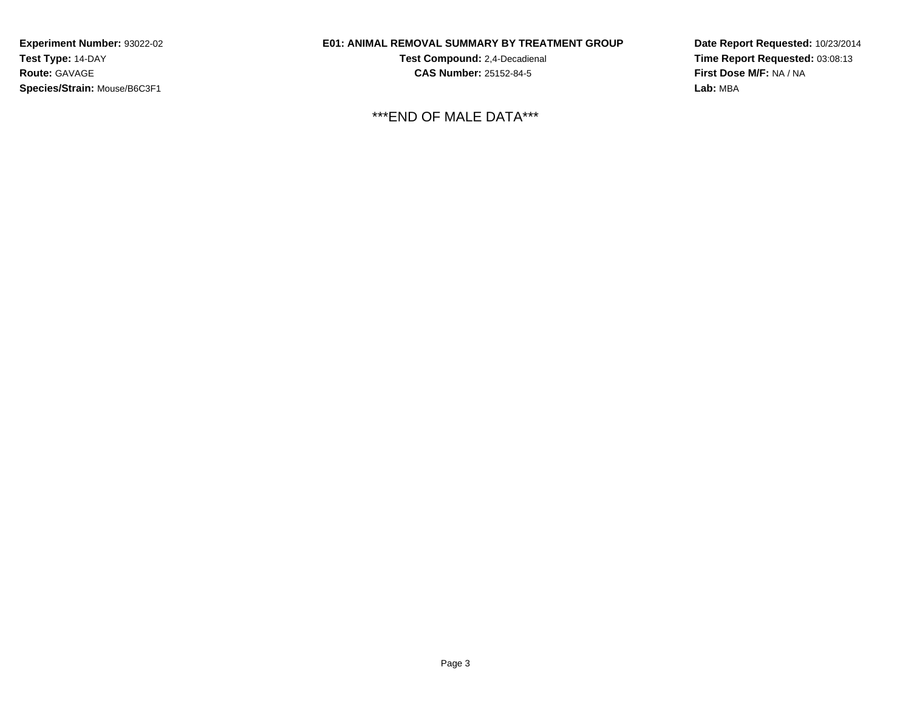### **E01: ANIMAL REMOVAL SUMMARY BY TREATMENT GROUP**

**Test Compound:** 2,4-Decadienal **CAS Number:** 25152-84-5

\*\*\*END OF MALE DATA\*\*\*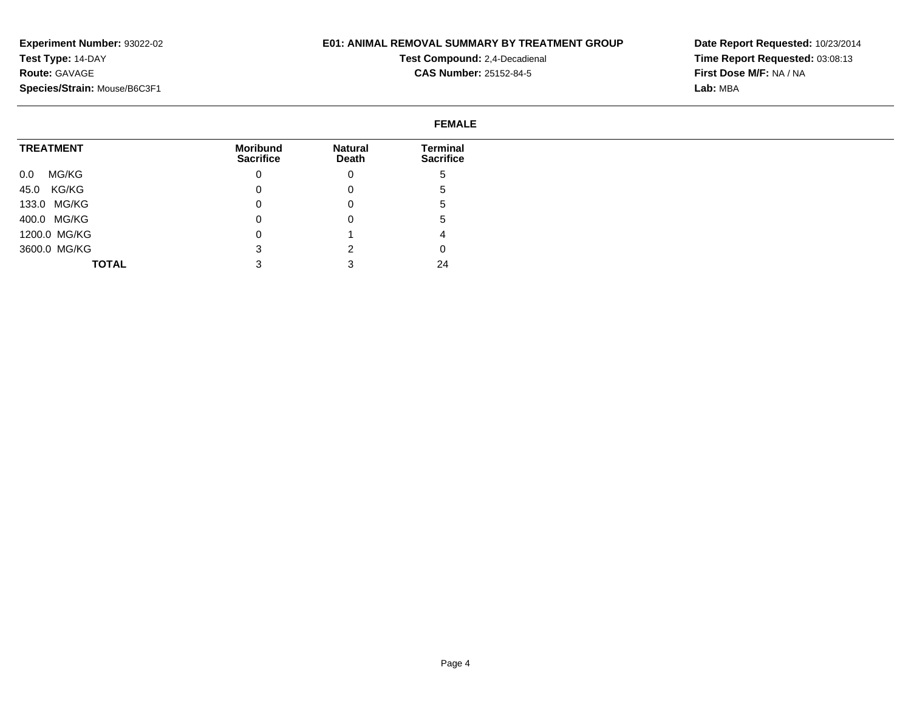### **E01: ANIMAL REMOVAL SUMMARY BY TREATMENT GROUP**

**Test Compound:** 2,4-Decadienal **CAS Number:** 25152-84-5

|                  | <b>FEMALE</b>                |                         |                              |
|------------------|------------------------------|-------------------------|------------------------------|
| <b>TREATMENT</b> | Moribund<br><b>Sacrifice</b> | <b>Natural</b><br>Death | Terminal<br><b>Sacrifice</b> |
| MG/KG<br>0.0     | 0                            | 0                       | C                            |
| 45.0 KG/KG       | 0                            | 0                       | G                            |
| 133.0 MG/KG      | O                            | 0                       | G                            |
| 400.0 MG/KG      | 0                            | 0                       | G                            |
| 1200.0 MG/KG     |                              |                         | 4                            |
| 3600.0 MG/KG     |                              | ົ                       | 0                            |
| <b>TOTAL</b>     |                              |                         | 24                           |